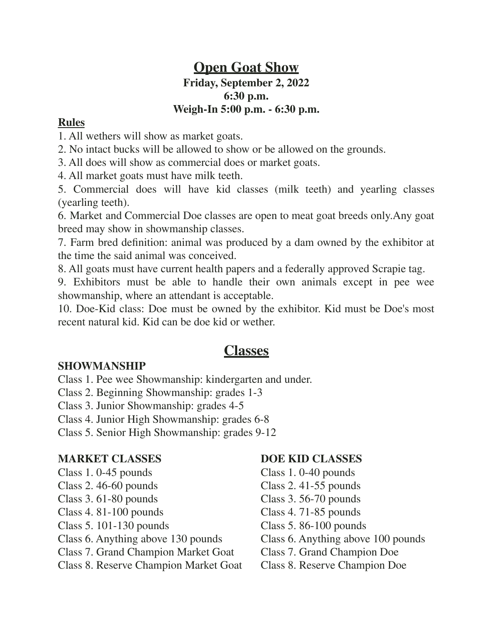# **Open Goat Show Friday, September 2, 2022 6:30 p.m. Weigh-In 5:00 p.m. - 6:30 p.m.**

# **Rules**

1. All wethers will show as market goats.

2. No intact bucks will be allowed to show or be allowed on the grounds.

3. All does will show as commercial does or market goats.

4. All market goats must have milk teeth.

5. Commercial does will have kid classes (milk teeth) and yearling classes (yearling teeth).

6. Market and Commercial Doe classes are open to meat goat breeds only.Any goat breed may show in showmanship classes.

7. Farm bred definition: animal was produced by a dam owned by the exhibitor at the time the said animal was conceived.

8. All goats must have current health papers and a federally approved Scrapie tag.

9. Exhibitors must be able to handle their own animals except in pee wee showmanship, where an attendant is acceptable.

10. Doe-Kid class: Doe must be owned by the exhibitor. Kid must be Doe's most recent natural kid. Kid can be doe kid or wether.

# **Classes**

# **SHOWMANSHIP**

Class 1. Pee wee Showmanship: kindergarten and under.

Class 2. Beginning Showmanship: grades 1-3

Class 3. Junior Showmanship: grades 4-5

Class 4. Junior High Showmanship: grades 6-8

Class 5. Senior High Showmanship: grades 9-12

# **MARKET CLASSES DOE KID CLASSES**

- Class 1. 0-45 pounds Class 1. 0-40 pounds
- Class 2. 46-60 pounds Class 2. 41-55 pounds
- Class 3. 61-80 pounds Class 3. 56-70 pounds
- Class 4. 81-100 pounds Class 4. 71-85 pounds
- Class 5. 101-130 pounds Class 5. 86-100 pounds
- Class 6. Anything above 130 pounds Class 6. Anything above 100 pounds
- Class 7. Grand Champion Market Goat Class 7. Grand Champion Doe
- Class 8. Reserve Champion Market Goat Class 8. Reserve Champion Doe

- 
- 
- 
- 
- 
- 
- 
-